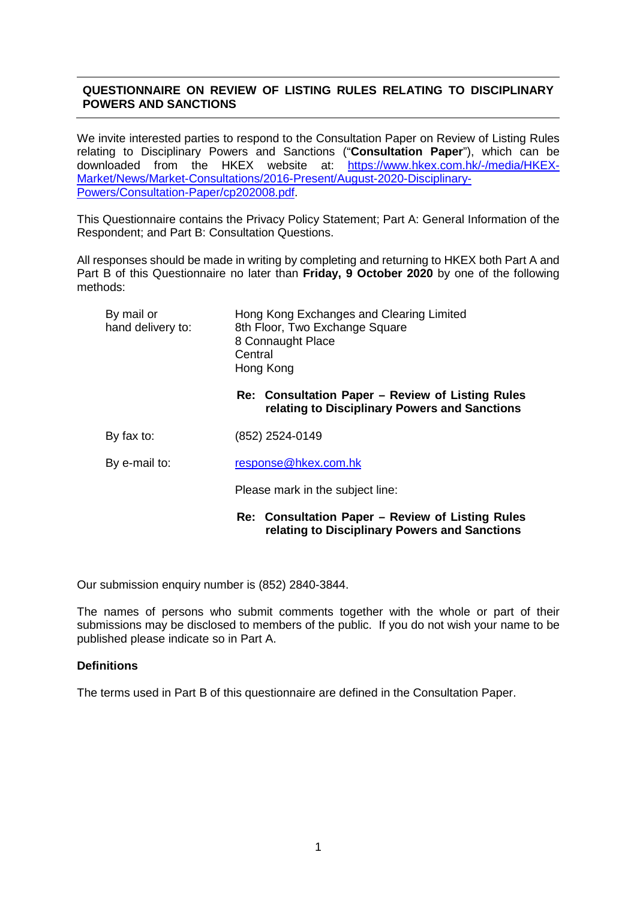# **QUESTIONNAIRE ON REVIEW OF LISTING RULES RELATING TO DISCIPLINARY POWERS AND SANCTIONS**

We invite interested parties to respond to the Consultation Paper on Review of Listing Rules relating to Disciplinary Powers and Sanctions ("**Consultation Paper**"), which can be downloaded from the HKEX website at: [Market/News/Market-Consultations/2016-Present/August-2020-Disciplinary-](https://www.hkex.com.hk/-/media/HKEX-Market/News/Market-Consultations/2016-Present/August-2020-Disciplinary-Powers/Consultation-Paper/cp202008.pdf)[Powers/Consultation-Paper/cp202008.pdf.](https://www.hkex.com.hk/-/media/HKEX-Market/News/Market-Consultations/2016-Present/August-2020-Disciplinary-Powers/Consultation-Paper/cp202008.pdf)

This Questionnaire contains the Privacy Policy Statement; Part A: General Information of the Respondent; and Part B: Consultation Questions.

All responses should be made in writing by completing and returning to HKEX both Part A and Part B of this Questionnaire no later than **Friday, 9 October 2020** by one of the following methods:

| By mail or<br>hand delivery to: | Hong Kong Exchanges and Clearing Limited<br>8th Floor, Two Exchange Square<br>8 Connaught Place<br>Central<br>Hong Kong |
|---------------------------------|-------------------------------------------------------------------------------------------------------------------------|
|                                 | Re: Consultation Paper – Review of Listing Rules<br>relating to Disciplinary Powers and Sanctions                       |
| By fax to:                      | (852) 2524-0149                                                                                                         |
| By e-mail to:                   | response@hkex.com.hk                                                                                                    |
|                                 | Please mark in the subject line:                                                                                        |
|                                 | Re: Consultation Paper – Review of Listing Rules<br>relating to Disciplinary Powers and Sanctions                       |

Our submission enquiry number is (852) 2840-3844.

The names of persons who submit comments together with the whole or part of their submissions may be disclosed to members of the public. If you do not wish your name to be published please indicate so in Part A.

# **Definitions**

The terms used in Part B of this questionnaire are defined in the Consultation Paper.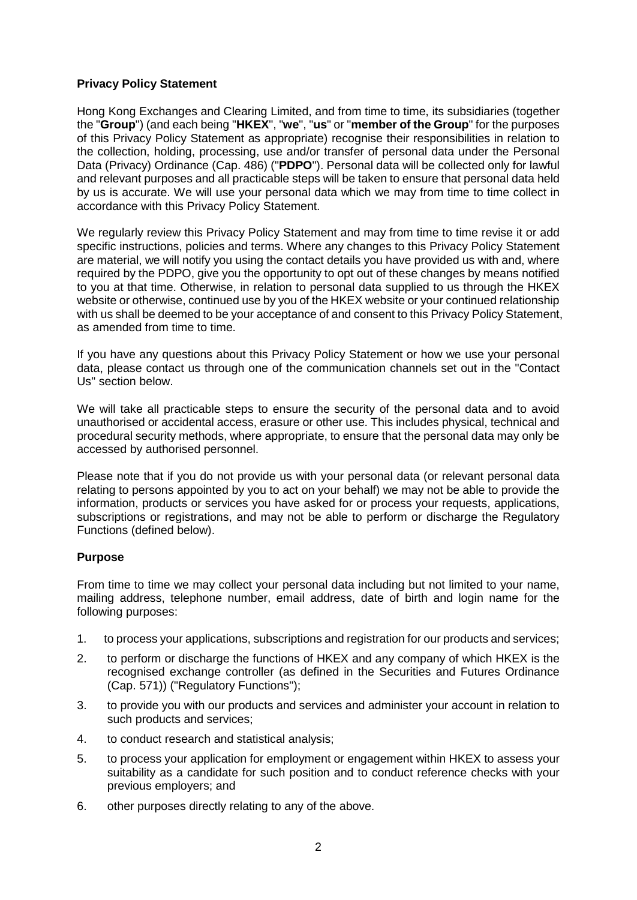## **Privacy Policy Statement**

Hong Kong Exchanges and Clearing Limited, and from time to time, its subsidiaries (together the "**Group**") (and each being "**HKEX**", "**we**", "**us**" or "**member of the Group**" for the purposes of this Privacy Policy Statement as appropriate) recognise their responsibilities in relation to the collection, holding, processing, use and/or transfer of personal data under the Personal Data (Privacy) Ordinance (Cap. 486) ("**PDPO**"). Personal data will be collected only for lawful and relevant purposes and all practicable steps will be taken to ensure that personal data held by us is accurate. We will use your personal data which we may from time to time collect in accordance with this Privacy Policy Statement.

We regularly review this Privacy Policy Statement and may from time to time revise it or add specific instructions, policies and terms. Where any changes to this Privacy Policy Statement are material, we will notify you using the contact details you have provided us with and, where required by the PDPO, give you the opportunity to opt out of these changes by means notified to you at that time. Otherwise, in relation to personal data supplied to us through the HKEX website or otherwise, continued use by you of the HKEX website or your continued relationship with us shall be deemed to be your acceptance of and consent to this Privacy Policy Statement, as amended from time to time.

If you have any questions about this Privacy Policy Statement or how we use your personal data, please contact us through one of the communication channels set out in the "Contact Us" section below.

We will take all practicable steps to ensure the security of the personal data and to avoid unauthorised or accidental access, erasure or other use. This includes physical, technical and procedural security methods, where appropriate, to ensure that the personal data may only be accessed by authorised personnel.

Please note that if you do not provide us with your personal data (or relevant personal data relating to persons appointed by you to act on your behalf) we may not be able to provide the information, products or services you have asked for or process your requests, applications, subscriptions or registrations, and may not be able to perform or discharge the Regulatory Functions (defined below).

# **Purpose**

From time to time we may collect your personal data including but not limited to your name, mailing address, telephone number, email address, date of birth and login name for the following purposes:

- 1. to process your applications, subscriptions and registration for our products and services;
- 2. to perform or discharge the functions of HKEX and any company of which HKEX is the recognised exchange controller (as defined in the Securities and Futures Ordinance (Cap. 571)) ("Regulatory Functions");
- 3. to provide you with our products and services and administer your account in relation to such products and services;
- 4. to conduct research and statistical analysis;
- 5. to process your application for employment or engagement within HKEX to assess your suitability as a candidate for such position and to conduct reference checks with your previous employers; and
- 6. other purposes directly relating to any of the above.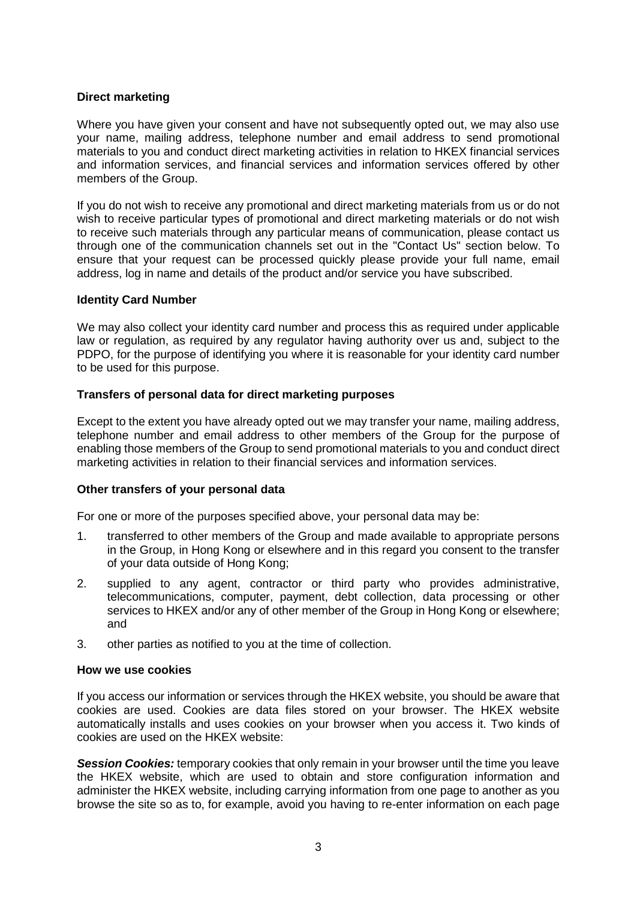# **Direct marketing**

Where you have given your consent and have not subsequently opted out, we may also use your name, mailing address, telephone number and email address to send promotional materials to you and conduct direct marketing activities in relation to HKEX financial services and information services, and financial services and information services offered by other members of the Group.

If you do not wish to receive any promotional and direct marketing materials from us or do not wish to receive particular types of promotional and direct marketing materials or do not wish to receive such materials through any particular means of communication, please contact us through one of the communication channels set out in the "Contact Us" section below. To ensure that your request can be processed quickly please provide your full name, email address, log in name and details of the product and/or service you have subscribed.

# **Identity Card Number**

We may also collect your identity card number and process this as required under applicable law or regulation, as required by any regulator having authority over us and, subject to the PDPO, for the purpose of identifying you where it is reasonable for your identity card number to be used for this purpose.

# **Transfers of personal data for direct marketing purposes**

Except to the extent you have already opted out we may transfer your name, mailing address, telephone number and email address to other members of the Group for the purpose of enabling those members of the Group to send promotional materials to you and conduct direct marketing activities in relation to their financial services and information services.

# **Other transfers of your personal data**

For one or more of the purposes specified above, your personal data may be:

- 1. transferred to other members of the Group and made available to appropriate persons in the Group, in Hong Kong or elsewhere and in this regard you consent to the transfer of your data outside of Hong Kong;
- 2. supplied to any agent, contractor or third party who provides administrative, telecommunications, computer, payment, debt collection, data processing or other services to HKEX and/or any of other member of the Group in Hong Kong or elsewhere; and
- 3. other parties as notified to you at the time of collection.

#### **How we use cookies**

If you access our information or services through the HKEX website, you should be aware that cookies are used. Cookies are data files stored on your browser. The HKEX website automatically installs and uses cookies on your browser when you access it. Two kinds of cookies are used on the HKEX website:

*Session Cookies:* temporary cookies that only remain in your browser until the time you leave the HKEX website, which are used to obtain and store configuration information and administer the HKEX website, including carrying information from one page to another as you browse the site so as to, for example, avoid you having to re-enter information on each page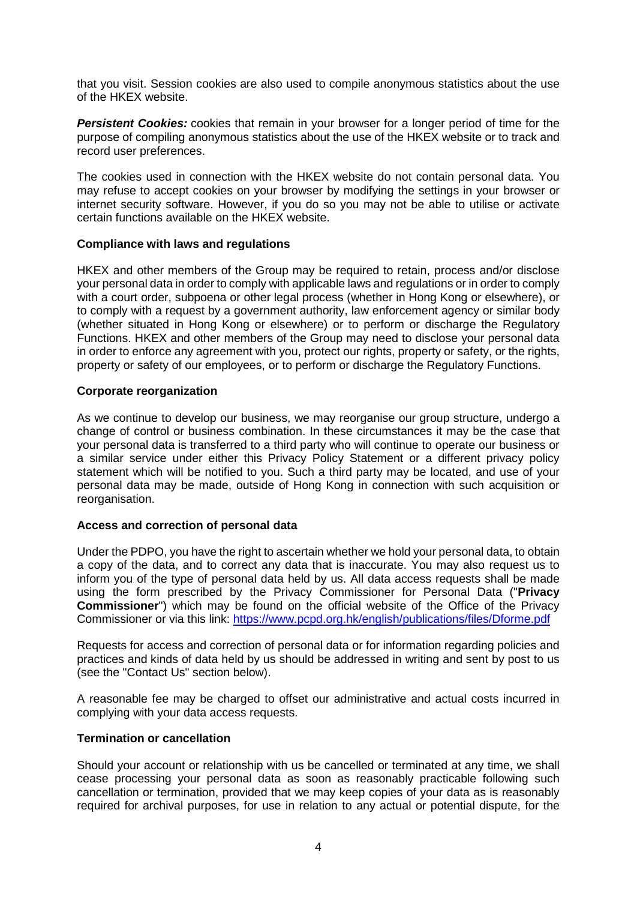that you visit. Session cookies are also used to compile anonymous statistics about the use of the HKEX website.

**Persistent Cookies:** cookies that remain in your browser for a longer period of time for the purpose of compiling anonymous statistics about the use of the HKEX website or to track and record user preferences.

The cookies used in connection with the HKEX website do not contain personal data. You may refuse to accept cookies on your browser by modifying the settings in your browser or internet security software. However, if you do so you may not be able to utilise or activate certain functions available on the HKEX website.

## **Compliance with laws and regulations**

HKEX and other members of the Group may be required to retain, process and/or disclose your personal data in order to comply with applicable laws and regulations or in order to comply with a court order, subpoena or other legal process (whether in Hong Kong or elsewhere), or to comply with a request by a government authority, law enforcement agency or similar body (whether situated in Hong Kong or elsewhere) or to perform or discharge the Regulatory Functions. HKEX and other members of the Group may need to disclose your personal data in order to enforce any agreement with you, protect our rights, property or safety, or the rights, property or safety of our employees, or to perform or discharge the Regulatory Functions.

## **Corporate reorganization**

As we continue to develop our business, we may reorganise our group structure, undergo a change of control or business combination. In these circumstances it may be the case that your personal data is transferred to a third party who will continue to operate our business or a similar service under either this Privacy Policy Statement or a different privacy policy statement which will be notified to you. Such a third party may be located, and use of your personal data may be made, outside of Hong Kong in connection with such acquisition or reorganisation.

#### **Access and correction of personal data**

Under the PDPO, you have the right to ascertain whether we hold your personal data, to obtain a copy of the data, and to correct any data that is inaccurate. You may also request us to inform you of the type of personal data held by us. All data access requests shall be made using the form prescribed by the Privacy Commissioner for Personal Data ("**Privacy Commissioner**") which may be found on the official website of the Office of the Privacy Commissioner or via this link:<https://www.pcpd.org.hk/english/publications/files/Dforme.pdf>

Requests for access and correction of personal data or for information regarding policies and practices and kinds of data held by us should be addressed in writing and sent by post to us (see the "Contact Us" section below).

A reasonable fee may be charged to offset our administrative and actual costs incurred in complying with your data access requests.

#### **Termination or cancellation**

Should your account or relationship with us be cancelled or terminated at any time, we shall cease processing your personal data as soon as reasonably practicable following such cancellation or termination, provided that we may keep copies of your data as is reasonably required for archival purposes, for use in relation to any actual or potential dispute, for the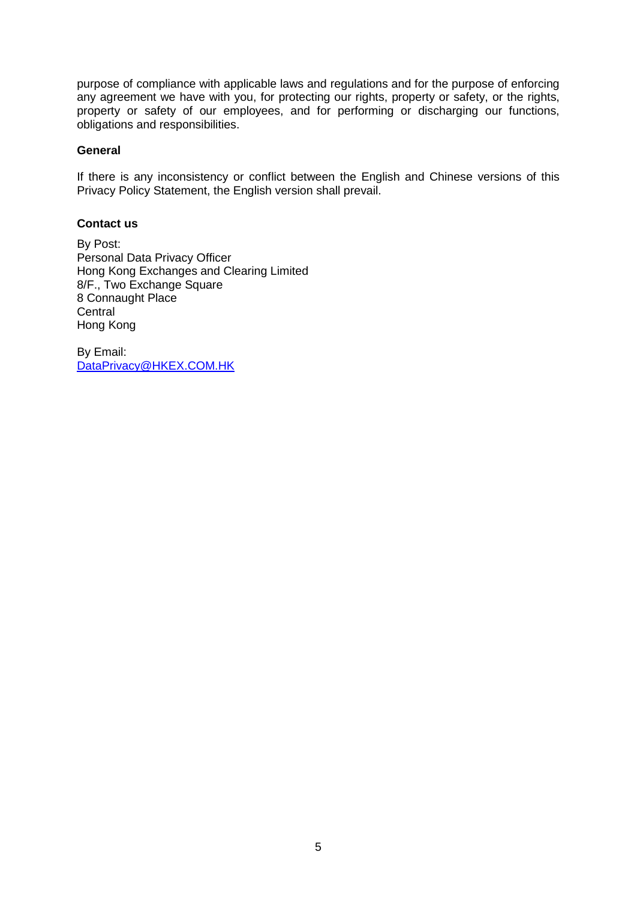purpose of compliance with applicable laws and regulations and for the purpose of enforcing any agreement we have with you, for protecting our rights, property or safety, or the rights, property or safety of our employees, and for performing or discharging our functions, obligations and responsibilities.

## **General**

If there is any inconsistency or conflict between the English and Chinese versions of this Privacy Policy Statement, the English version shall prevail.

## **Contact us**

By Post: Personal Data Privacy Officer Hong Kong Exchanges and Clearing Limited 8/F., Two Exchange Square 8 Connaught Place **Central** Hong Kong

By Email: [DataPrivacy@HKEX.COM.HK](mailto:DataPrivacy@HKEX.COM.HK)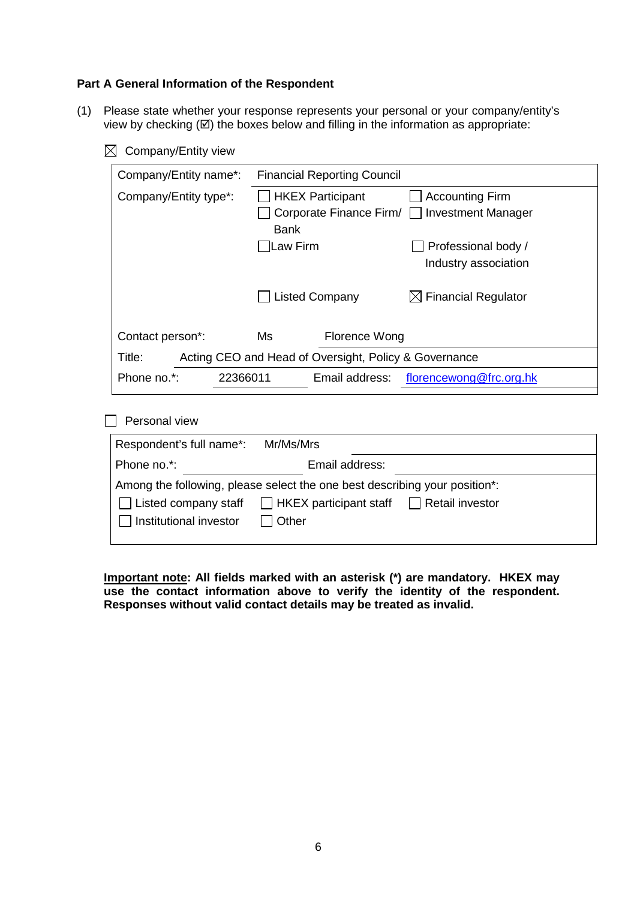#### **Part A General Information of the Respondent**

- (1) Please state whether your response represents your personal or your company/entity's view by checking  $(\boxtimes)$  the boxes below and filling in the information as appropriate:
	- $\boxtimes$  Company/Entity view

| Company/Entity name*:   | <b>Financial Reporting Council</b>                    |                                 |
|-------------------------|-------------------------------------------------------|---------------------------------|
| Company/Entity type*:   | <b>HKEX Participant</b>                               | <b>Accounting Firm</b>          |
|                         | Corporate Finance Firm/ □ Investment Manager          |                                 |
|                         | <b>Bank</b>                                           |                                 |
|                         | Law Firm                                              | Professional body /             |
|                         |                                                       | Industry association            |
|                         | <b>Listed Company</b>                                 | $\boxtimes$ Financial Regulator |
| Contact person*:        | Ms<br>Florence Wong                                   |                                 |
| Title:                  | Acting CEO and Head of Oversight, Policy & Governance |                                 |
| Phone no.*:<br>22366011 | Email address:                                        | florencewong@frc.org.hk         |

 $\Box$  Personal view

| Respondent's full name*: Mr/Ms/Mrs |                                                                                                                                                                                |  |
|------------------------------------|--------------------------------------------------------------------------------------------------------------------------------------------------------------------------------|--|
| Phone no.*:                        | Email address:                                                                                                                                                                 |  |
| Institutional investor             | Among the following, please select the one best describing your position*:<br>$\Box$ Listed company staff $\Box$ HKEX participant staff $\Box$ Retail investor<br>$\Box$ Other |  |

**Important note: All fields marked with an asterisk (\*) are mandatory. HKEX may use the contact information above to verify the identity of the respondent. Responses without valid contact details may be treated as invalid.**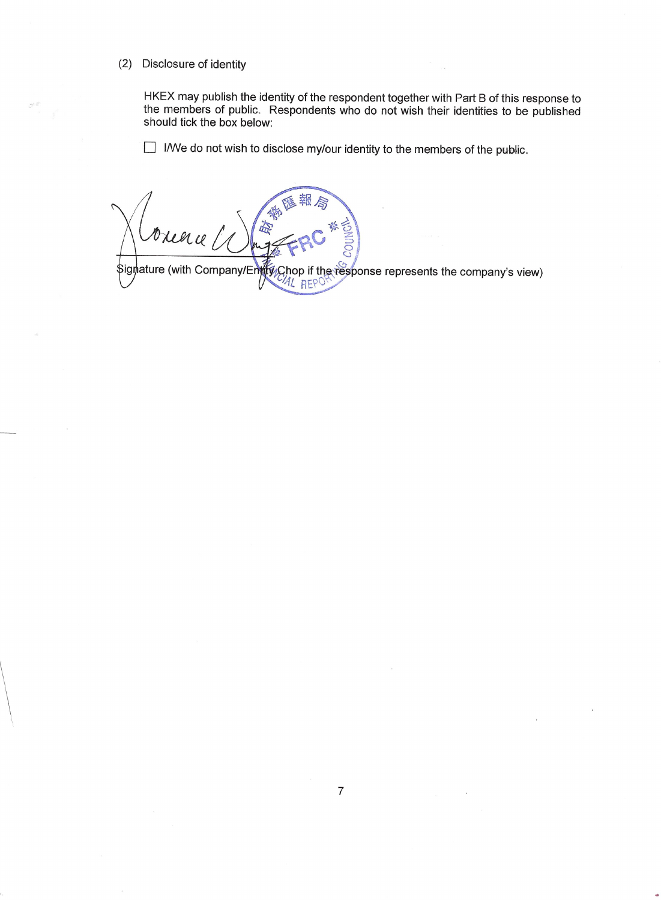#### (2) Disclosure of identity

HKEX may publish the identity of the respondent together with Part B of this response to the members of public. Respondents who do not wish their identities to be published should tick the box below:

I/We do not wish to disclose my/our identity to the members of the public.

\$igmature (with Company/Entry Chop if the response represents the company's view)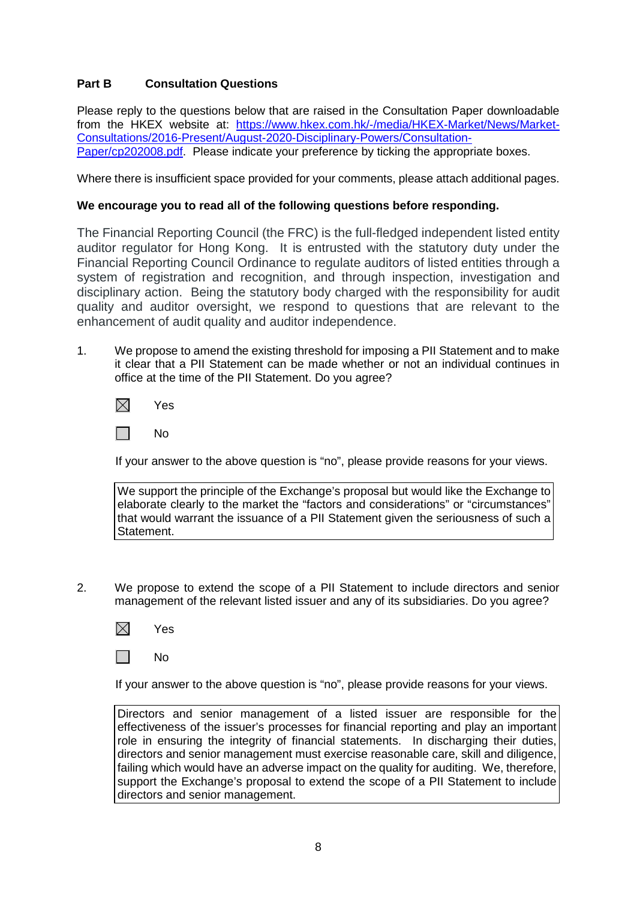# **Part B Consultation Questions**

Please reply to the questions below that are raised in the Consultation Paper downloadable from the HKEX website at: [https://www.hkex.com.hk/-/media/HKEX-Market/News/Market-](https://www.hkex.com.hk/-/media/HKEX-Market/News/Market-Consultations/2016-Present/August-2020-Disciplinary-Powers/Consultation-Paper/cp202008.pdf)[Consultations/2016-Present/August-2020-Disciplinary-Powers/Consultation-](https://www.hkex.com.hk/-/media/HKEX-Market/News/Market-Consultations/2016-Present/August-2020-Disciplinary-Powers/Consultation-Paper/cp202008.pdf)[Paper/cp202008.pdf.](https://www.hkex.com.hk/-/media/HKEX-Market/News/Market-Consultations/2016-Present/August-2020-Disciplinary-Powers/Consultation-Paper/cp202008.pdf) Please indicate your preference by ticking the appropriate boxes.

Where there is insufficient space provided for your comments, please attach additional pages.

# **We encourage you to read all of the following questions before responding.**

The Financial Reporting Council (the FRC) is the full-fledged independent listed entity auditor regulator for Hong Kong. It is entrusted with the statutory duty under the Financial Reporting Council Ordinance to regulate auditors of listed entities through a system of registration and recognition, and through inspection, investigation and disciplinary action. Being the statutory body charged with the responsibility for audit quality and auditor oversight, we respond to questions that are relevant to the enhancement of audit quality and auditor independence.

1. We propose to amend the existing threshold for imposing a PII Statement and to make it clear that a PII Statement can be made whether or not an individual continues in office at the time of the PII Statement. Do you agree?

 $\boxtimes$ Yes

 $\Box$ No

If your answer to the above question is "no", please provide reasons for your views.

We support the principle of the Exchange's proposal but would like the Exchange to elaborate clearly to the market the "factors and considerations" or "circumstances" that would warrant the issuance of a PII Statement given the seriousness of such a Statement.

- 2. We propose to extend the scope of a PII Statement to include directors and senior management of the relevant listed issuer and any of its subsidiaries. Do you agree?
	- $\boxtimes$ Yes
	- $\mathbf{L}$ No

If your answer to the above question is "no", please provide reasons for your views.

Directors and senior management of a listed issuer are responsible for the effectiveness of the issuer's processes for financial reporting and play an important role in ensuring the integrity of financial statements. In discharging their duties, directors and senior management must exercise reasonable care, skill and diligence, failing which would have an adverse impact on the quality for auditing. We, therefore, support the Exchange's proposal to extend the scope of a PII Statement to include directors and senior management.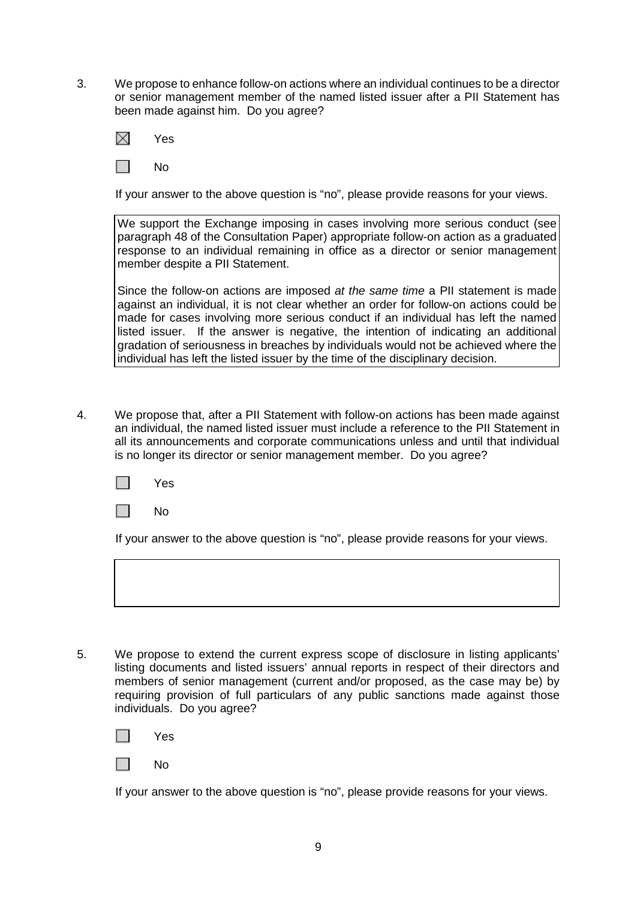3. We propose to enhance follow-on actions where an individual continues to be a director or senior management member of the named listed issuer after a PII Statement has been made against him. Do you agree?



I I No

If your answer to the above question is "no", please provide reasons for your views.

We support the Exchange imposing in cases involving more serious conduct (see paragraph 48 of the Consultation Paper) appropriate follow-on action as a graduated response to an individual remaining in office as a director or senior management member despite a PII Statement.

Since the follow-on actions are imposed *at the same time* a PII statement is made against an individual, it is not clear whether an order for follow-on actions could be made for cases involving more serious conduct if an individual has left the named listed issuer. If the answer is negative, the intention of indicating an additional gradation of seriousness in breaches by individuals would not be achieved where the individual has left the listed issuer by the time of the disciplinary decision.

4. We propose that, after a PII Statement with follow-on actions has been made against an individual, the named listed issuer must include a reference to the PII Statement in all its announcements and corporate communications unless and until that individual is no longer its director or senior management member. Do you agree?

| es<br>$\checkmark$ |
|--------------------|
|                    |



If your answer to the above question is "no", please provide reasons for your views.

5. We propose to extend the current express scope of disclosure in listing applicants' listing documents and listed issuers' annual reports in respect of their directors and members of senior management (current and/or proposed, as the case may be) by requiring provision of full particulars of any public sanctions made against those individuals. Do you agree?



No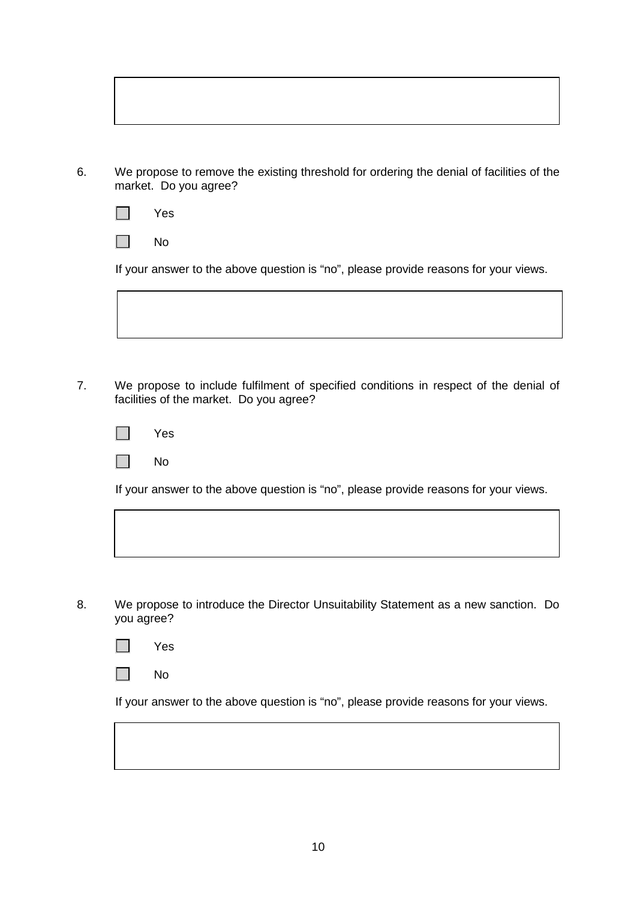| We propose to remove the existing threshold for ordering the denial of facilities of the |
|------------------------------------------------------------------------------------------|
| market. Do you agree?                                                                    |

|  | es |
|--|----|
|--|----|

 $\Box$ No

If your answer to the above question is "no", please provide reasons for your views.

7. We propose to include fulfilment of specified conditions in respect of the denial of facilities of the market. Do you agree?

| Yes |
|-----|
| No  |

If your answer to the above question is "no", please provide reasons for your views.

8. We propose to introduce the Director Unsuitability Statement as a new sanction. Do you agree?



|  | N٥ |
|--|----|
|--|----|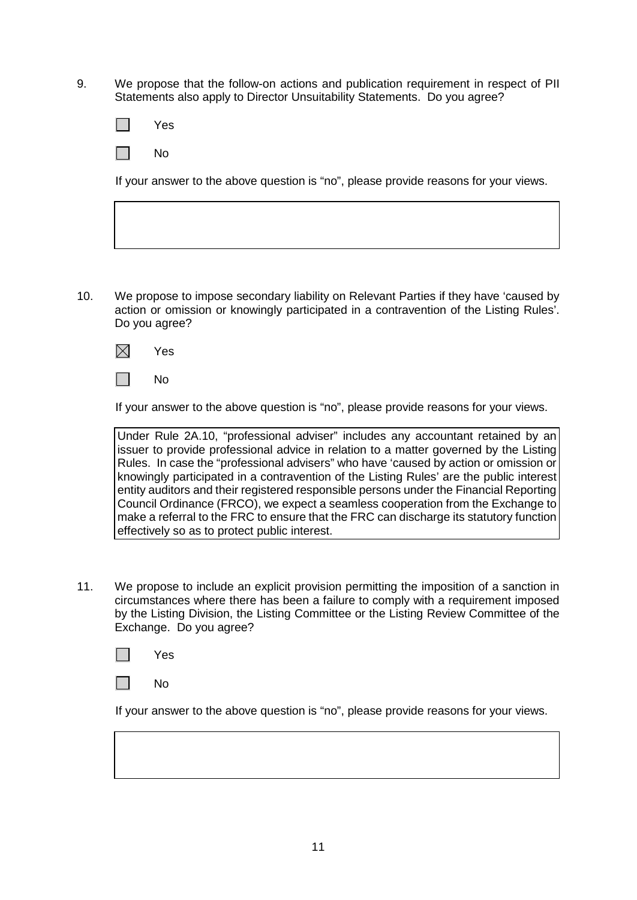9. We propose that the follow-on actions and publication requirement in respect of PII Statements also apply to Director Unsuitability Statements. Do you agree?

| м | $\overline{\phantom{a}}$ |
|---|--------------------------|
|   | es                       |

 $\sim 10$ No

If your answer to the above question is "no", please provide reasons for your views.

10. We propose to impose secondary liability on Relevant Parties if they have 'caused by action or omission or knowingly participated in a contravention of the Listing Rules'. Do you agree?





If your answer to the above question is "no", please provide reasons for your views.

Under Rule 2A.10, "professional adviser" includes any accountant retained by an issuer to provide professional advice in relation to a matter governed by the Listing Rules. In case the "professional advisers" who have 'caused by action or omission or knowingly participated in a contravention of the Listing Rules' are the public interest entity auditors and their registered responsible persons under the Financial Reporting Council Ordinance (FRCO), we expect a seamless cooperation from the Exchange to make a referral to the FRC to ensure that the FRC can discharge its statutory function effectively so as to protect public interest.

11. We propose to include an explicit provision permitting the imposition of a sanction in circumstances where there has been a failure to comply with a requirement imposed by the Listing Division, the Listing Committee or the Listing Review Committee of the Exchange. Do you agree?

|  | es<br>Y |
|--|---------|
|--|---------|

 $\sim$ No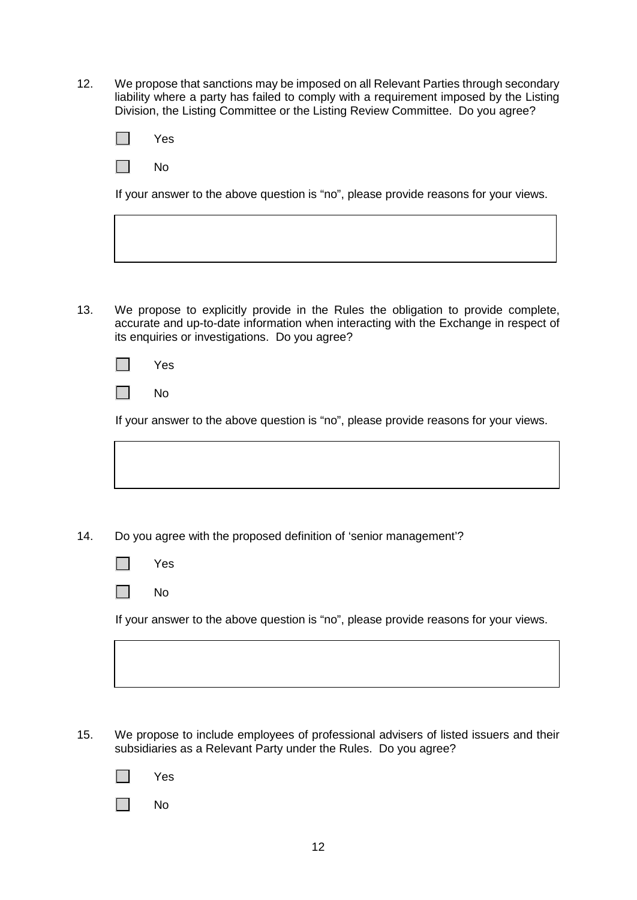12. We propose that sanctions may be imposed on all Relevant Parties through secondary liability where a party has failed to comply with a requirement imposed by the Listing Division, the Listing Committee or the Listing Review Committee. Do you agree?

| Yes |  |
|-----|--|
| No  |  |

If your answer to the above question is "no", please provide reasons for your views.

- 13. We propose to explicitly provide in the Rules the obligation to provide complete,
	- accurate and up-to-date information when interacting with the Exchange in respect of its enquiries or investigations. Do you agree?

|  | es |
|--|----|
|--|----|

 $\Box$ No

If your answer to the above question is "no", please provide reasons for your views.

14. Do you agree with the proposed definition of 'senior management'?

| -- |
|----|
|    |

 $\Box$ No

If your answer to the above question is "no", please provide reasons for your views.

- 15. We propose to include employees of professional advisers of listed issuers and their subsidiaries as a Relevant Party under the Rules. Do you agree?
	- Yes

 $\Box$ No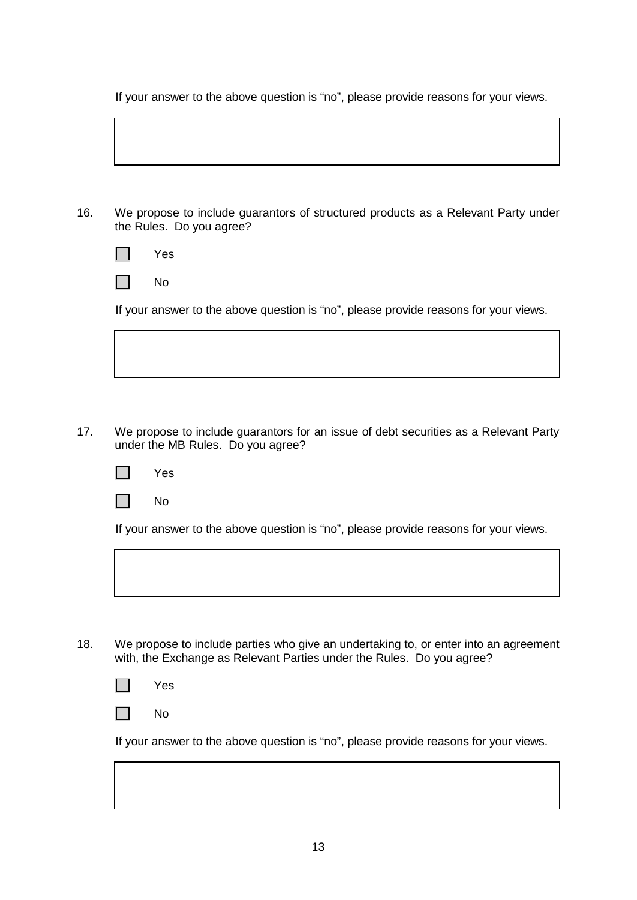If your answer to the above question is "no", please provide reasons for your views.

| 16. | We propose to include guarantors of structured products as a Relevant Party under<br>the Rules. Do you agree? |
|-----|---------------------------------------------------------------------------------------------------------------|
|     | <b>Yes</b>                                                                                                    |
|     | No                                                                                                            |

If your answer to the above question is "no", please provide reasons for your views.

- 17. We propose to include guarantors for an issue of debt securities as a Relevant Party under the MB Rules. Do you agree?
	- $\Box$ Yes



If your answer to the above question is "no", please provide reasons for your views.

18. We propose to include parties who give an undertaking to, or enter into an agreement with, the Exchange as Relevant Parties under the Rules. Do you agree?

 $\Box$ No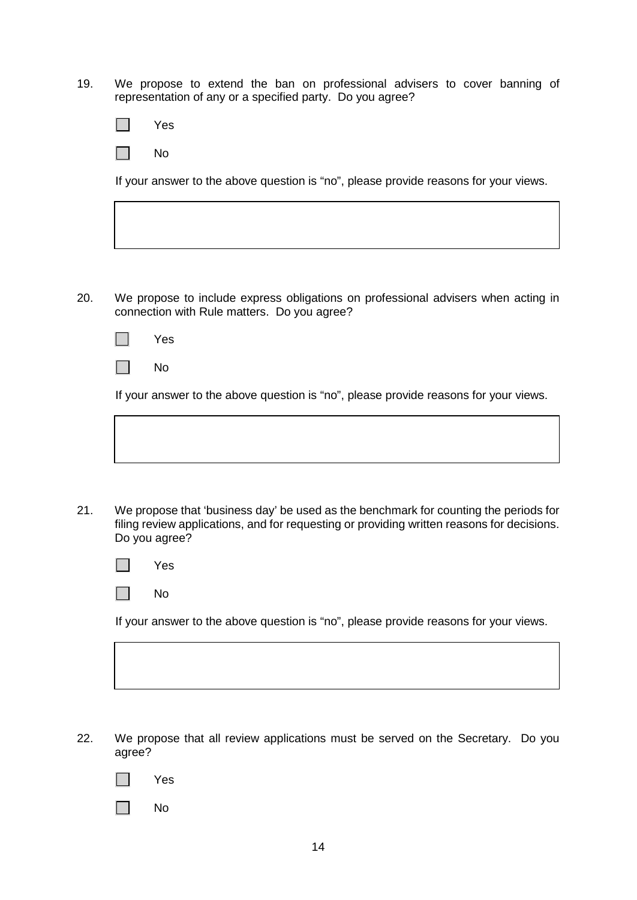19. We propose to extend the ban on professional advisers to cover banning of representation of any or a specified party. Do you agree?

|  | es |
|--|----|
|--|----|

 $\sim 10$ No

If your answer to the above question is "no", please provide reasons for your views.

20. We propose to include express obligations on professional advisers when acting in connection with Rule matters. Do you agree?

|  | -- |
|--|----|
|--|----|

No  $\mathcal{L}^{\mathcal{L}}$ 

If your answer to the above question is "no", please provide reasons for your views.

- 
- 21. We propose that 'business day' be used as the benchmark for counting the periods for filing review applications, and for requesting or providing written reasons for decisions. Do you agree?

|  | AS. |
|--|-----|
|--|-----|

No  $\Box$ 

- 22. We propose that all review applications must be served on the Secretary. Do you agree?
	- l II Yes
	- $\blacksquare$ No